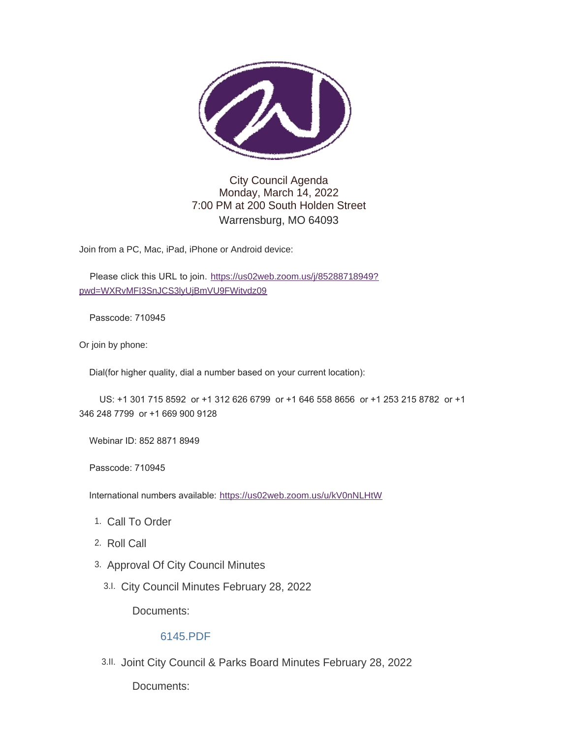

## City Council Agenda Monday, March 14, 2022 7:00 PM at 200 South Holden Street Warrensburg, MO 64093

Join from a PC, Mac, iPad, iPhone or Android device:

Please click this URL to join. [https://us02web.zoom.us/j/85288718949?](https://us02web.zoom.us/j/85288718949?pwd=WXRvMFI3SnJCS3lyUjBmVU9FWitvdz09) pwd=WXRvMFI3SnJCS3lyUjBmVU9FWitvdz09

Passcode: 710945

Or join by phone:

Dial(for higher quality, dial a number based on your current location):

 US: +1 301 715 8592 or +1 312 626 6799 or +1 646 558 8656 or +1 253 215 8782 or +1 346 248 7799 or +1 669 900 9128

Webinar ID: 852 8871 8949

Passcode: 710945

International numbers available: <https://us02web.zoom.us/u/kV0nNLHtW>

- 1. Call To Order
- 2. Roll Call
- 3. Approval Of City Council Minutes
	- City Council Minutes February 28, 2022 3.I.

Documents:

### [6145.PDF](https://www.warrensburg-mo.com/AgendaCenter/ViewFile/Item/6145?fileID=10843)

3.II. Joint City Council & Parks Board Minutes February 28, 2022

Documents: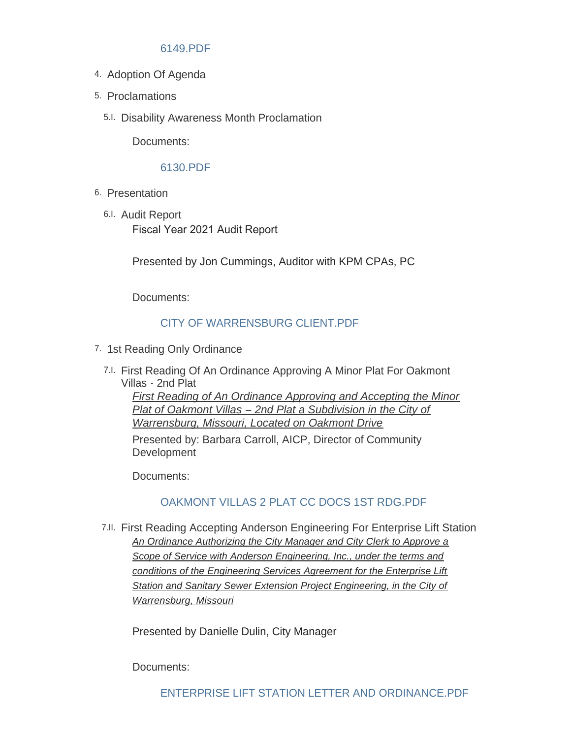### [6149.PDF](https://www.warrensburg-mo.com/AgendaCenter/ViewFile/Item/6149?fileID=10844)

- 4. Adoption Of Agenda
- 5. Proclamations
	- 5.I. Disability Awareness Month Proclamation

Documents:

#### [6130.PDF](https://www.warrensburg-mo.com/AgendaCenter/ViewFile/Item/6130?fileID=10842)

- 6. Presentation
	- 6.I. Audit Report Fiscal Year 2021 Audit Report

Presented by Jon Cummings, Auditor with KPM CPAs, PC

Documents:

## [CITY OF WARRENSBURG CLIENT.PDF](https://www.warrensburg-mo.com/AgendaCenter/ViewFile/Item/6128?fileID=10840)

- 7. 1st Reading Only Ordinance
	- First Reading Of An Ordinance Approving A Minor Plat For Oakmont 7.I. Villas - 2nd Plat *First Reading of An Ordinance Approving and Accepting the Minor*

*Plat of Oakmont Villas – 2nd Plat a Subdivision in the City of Warrensburg, Missouri, Located on Oakmont Drive*

Presented by: Barbara Carroll, AICP, Director of Community **Development** 

Documents:

# [OAKMONT VILLAS 2 PLAT CC DOCS 1ST RDG.PDF](https://www.warrensburg-mo.com/AgendaCenter/ViewFile/Item/5933?fileID=10831)

First Reading Accepting Anderson Engineering For Enterprise Lift Station 7.II. *An Ordinance Authorizing the City Manager and City Clerk to Approve a Scope of Service with Anderson Engineering, Inc., under the terms and conditions of the Engineering Services Agreement for the Enterprise Lift Station and Sanitary Sewer Extension Project Engineering, in the City of Warrensburg, Missouri*

Presented by Danielle Dulin, City Manager

Documents: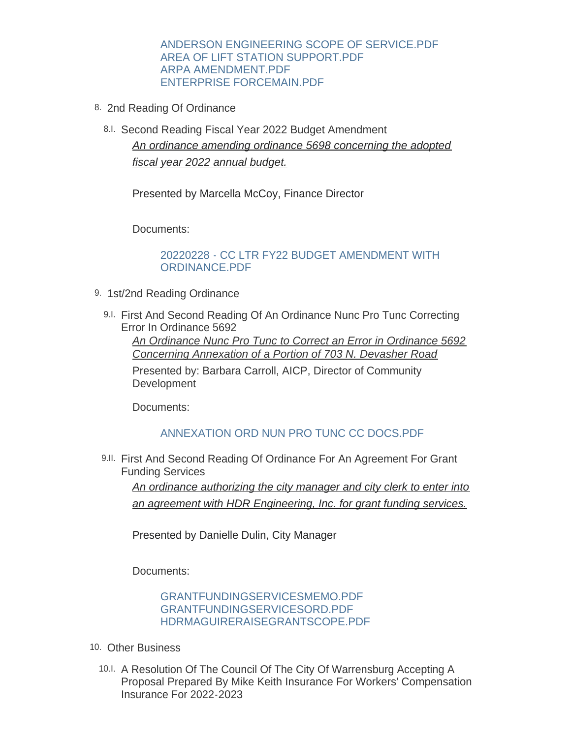#### [ANDERSON ENGINEERING SCOPE OF SERVICE.PDF](https://www.warrensburg-mo.com/AgendaCenter/ViewFile/Item/6167?fileID=10850) [AREA OF LIFT STATION SUPPORT.PDF](https://www.warrensburg-mo.com/AgendaCenter/ViewFile/Item/6167?fileID=10851) [ARPA AMENDMENT.PDF](https://www.warrensburg-mo.com/AgendaCenter/ViewFile/Item/6167?fileID=10852) [ENTERPRISE FORCEMAIN.PDF](https://www.warrensburg-mo.com/AgendaCenter/ViewFile/Item/6167?fileID=10853)

- 8. 2nd Reading Of Ordinance
	- 8.I. Second Reading Fiscal Year 2022 Budget Amendment *An ordinance amending ordinance 5698 concerning the adopted fiscal year 2022 annual budget.*

Presented by Marcella McCoy, Finance Director

Documents:

#### [20220228 - CC LTR FY22 BUDGET AMENDMENT WITH](https://www.warrensburg-mo.com/AgendaCenter/ViewFile/Item/6151?fileID=10839)  ORDINANCE.PDF

- 9. 1st/2nd Reading Ordinance
	- 9.I. First And Second Reading Of An Ordinance Nunc Pro Tunc Correcting Error In Ordinance 5692 *An Ordinance Nunc Pro Tunc to Correct an Error in Ordinance 5692*

*Concerning Annexation of a Portion of 703 N. Devasher Road*

Presented by: Barbara Carroll, AICP, Director of Community **Development** 

Documents:

### [ANNEXATION ORD NUN PRO TUNC CC DOCS.PDF](https://www.warrensburg-mo.com/AgendaCenter/ViewFile/Item/6127?fileID=10781)

9.II. First And Second Reading Of Ordinance For An Agreement For Grant Funding Services

*An ordinance authorizing the city manager and city clerk to enter into an agreement with HDR Engineering, Inc. for grant funding services.*

Presented by Danielle Dulin, City Manager

Documents:

[GRANTFUNDINGSERVICESMEMO.PDF](https://www.warrensburg-mo.com/AgendaCenter/ViewFile/Item/6146?fileID=10845) [GRANTFUNDINGSERVICESORD.PDF](https://www.warrensburg-mo.com/AgendaCenter/ViewFile/Item/6146?fileID=10846) [HDRMAGUIRERAISEGRANTSCOPE.PDF](https://www.warrensburg-mo.com/AgendaCenter/ViewFile/Item/6146?fileID=10847)

- 10. Other Business
	- 10.I. A Resolution Of The Council Of The City Of Warrensburg Accepting A Proposal Prepared By Mike Keith Insurance For Workers' Compensation Insurance For 2022-2023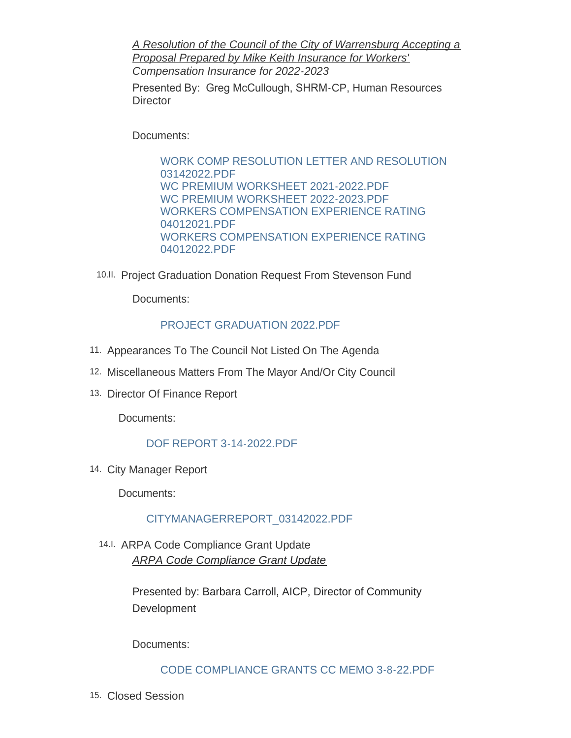*A Resolution of the Council of the City of Warrensburg Accepting a Proposal Prepared by Mike Keith Insurance for Workers' Compensation Insurance for 2022-2023*

Presented By: Greg McCullough, SHRM-CP, Human Resources **Director** 

Documents:

[WORK COMP RESOLUTION LETTER AND RESOLUTION](https://www.warrensburg-mo.com/AgendaCenter/ViewFile/Item/6129?fileID=10835)  03142022.PDF [WC PREMIUM WORKSHEET 2021-2022.PDF](https://www.warrensburg-mo.com/AgendaCenter/ViewFile/Item/6129?fileID=10815) [WC PREMIUM WORKSHEET 2022-2023.PDF](https://www.warrensburg-mo.com/AgendaCenter/ViewFile/Item/6129?fileID=10816) [WORKERS COMPENSATION EXPERIENCE RATING](https://www.warrensburg-mo.com/AgendaCenter/ViewFile/Item/6129?fileID=10817)  04012021.PDF [WORKERS COMPENSATION EXPERIENCE RATING](https://www.warrensburg-mo.com/AgendaCenter/ViewFile/Item/6129?fileID=10818)  04012022.PDF

10.II. Project Graduation Donation Request From Stevenson Fund

Documents:

# [PROJECT GRADUATION 2022.PDF](https://www.warrensburg-mo.com/AgendaCenter/ViewFile/Item/6148?fileID=10833)

- 11. Appearances To The Council Not Listed On The Agenda
- 12. Miscellaneous Matters From The Mayor And/Or City Council
- 13. Director Of Finance Report

Documents:

# [DOF REPORT 3-14-2022.PDF](https://www.warrensburg-mo.com/AgendaCenter/ViewFile/Item/6150?fileID=10838)

14. City Manager Report

Documents:

# [CITYMANAGERREPORT\\_03142022.PDF](https://www.warrensburg-mo.com/AgendaCenter/ViewFile/Item/6165?fileID=10848)

14.I. ARPA Code Compliance Grant Update *ARPA Code Compliance Grant Update*

> Presented by: Barbara Carroll, AICP, Director of Community **Development**

Documents:

### [CODE COMPLIANCE GRANTS CC MEMO 3-8-22.PDF](https://www.warrensburg-mo.com/AgendaCenter/ViewFile/Item/5962?fileID=10832)

15. Closed Session